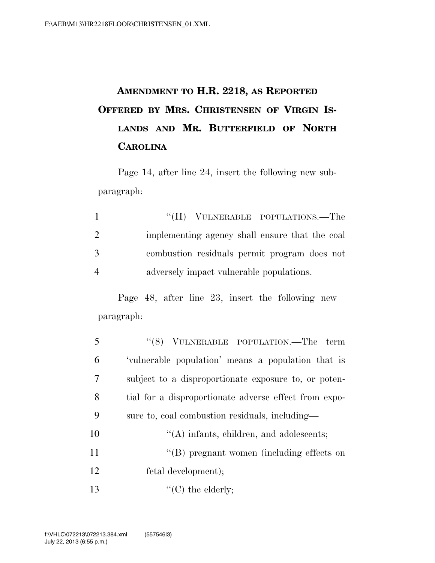## **AMENDMENT TO H.R. 2218, AS REPORTED OFFERED BY MRS. CHRISTENSEN OF VIRGIN IS-LANDS AND MR. BUTTERFIELD OF NORTH CAROLINA**

Page 14, after line 24, insert the following new subparagraph:

| $\mathbf{1}$   | "(H) VULNERABLE POPULATIONS.—The               |
|----------------|------------------------------------------------|
| 2              | implementing agency shall ensure that the coal |
| 3              | combustion residuals permit program does not   |
| $\overline{4}$ | adversely impact vulnerable populations.       |

Page 48, after line 23, insert the following new paragraph:

| 5  | "(8) VULNERABLE POPULATION.—The term                  |
|----|-------------------------------------------------------|
| 6  | 'vulnerable population' means a population that is    |
| 7  | subject to a disproportionate exposure to, or poten-  |
| 8  | tial for a disproportionate adverse effect from expo- |
| 9  | sure to, coal combustion residuals, including—        |
| 10 | $\lq\lq$ infants, children, and adolescents;          |
| 11 | "(B) pregnant women (including effects on             |
| 12 | fetal development);                                   |
| 13 | $\lq\lq$ (C) the elderly;                             |